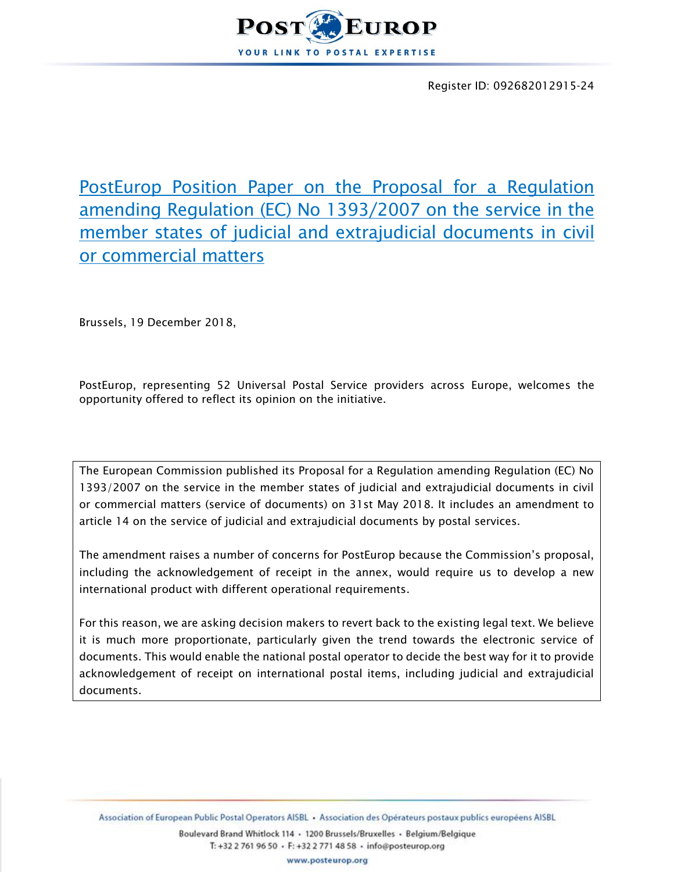

Register ID: 092682012915-24

PostEurop Position Paper on the Proposal for a Regulation amending Regulation (EC) No 1393/2007 on the service in the member states of judicial and extrajudicial documents in civil or commercial matters

Brussels, 19 December 2018,

PostEurop, representing 52 Universal Postal Service providers across Europe, welcomes the opportunity offered to reflect its opinion on the initiative.

The European Commission published its Proposal for a Regulation amending Regulation (EC) No 1393/2007 on the service in the member states of judicial and extrajudicial documents in civil or commercial matters (service of documents) on 31st May 2018. It includes an amendment to article 14 on the service of judicial and extrajudicial documents by postal services.

The amendment raises a number of concerns for PostEurop because the Commission's proposal, including the acknowledgement of receipt in the annex, would require us to develop a new international product with different operational requirements.

For this reason, we are asking decision makers to revert back to the existing legal text. We believe it is much more proportionate, particularly given the trend towards the electronic service of documents. This would enable the national postal operator to decide the best way for it to provide acknowledgement of receipt on international postal items, including judicial and extrajudicial documents.

Association of European Public Postal Operators AISBL · Association des Opérateurs postaux publics européens AISBL

Boulevard Brand Whitlock 114 · 1200 Brussels/Bruxelles · Belgium/Belgique T: +32 2 761 96 50 · F: +32 2 771 48 58 · info@posteurop.org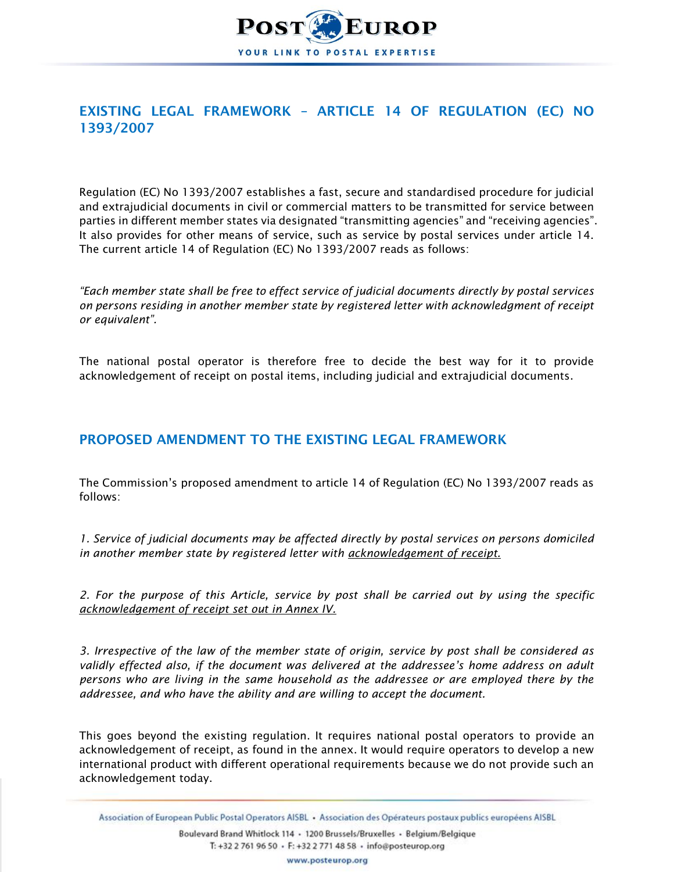

# EXISTING LEGAL FRAMEWORK – ARTICLE 14 OF REGULATION (EC) NO 1393/2007

Regulation (EC) No 1393/2007 establishes a fast, secure and standardised procedure for judicial and extrajudicial documents in civil or commercial matters to be transmitted for service between parties in different member states via designated "transmitting agencies" and "receiving agencies". It also provides for other means of service, such as service by postal services under article 14. The current article 14 of Regulation (EC) No 1393/2007 reads as follows:

*"Each member state shall be free to effect service of judicial documents directly by postal services on persons residing in another member state by registered letter with acknowledgment of receipt or equivalent".*

The national postal operator is therefore free to decide the best way for it to provide acknowledgement of receipt on postal items, including judicial and extrajudicial documents.

### PROPOSED AMENDMENT TO THE EXISTING LEGAL FRAMEWORK

The Commission's proposed amendment to article 14 of Regulation (EC) No 1393/2007 reads as follows:

*1. Service of judicial documents may be affected directly by postal services on persons domiciled in another member state by registered letter with acknowledgement of receipt.*

*2. For the purpose of this Article, service by post shall be carried out by using the specific acknowledgement of receipt set out in Annex IV.*

*3. Irrespective of the law of the member state of origin, service by post shall be considered as validly effected also, if the document was delivered at the addressee's home address on adult persons who are living in the same household as the addressee or are employed there by the addressee, and who have the ability and are willing to accept the document.*

This goes beyond the existing regulation. It requires national postal operators to provide an acknowledgement of receipt, as found in the annex. It would require operators to develop a new international product with different operational requirements because we do not provide such an acknowledgement today.

Association of European Public Postal Operators AISBL · Association des Opérateurs postaux publics européens AISBL

Boulevard Brand Whitlock 114 · 1200 Brussels/Bruxelles · Belgium/Belgique T: +32 2 761 96 50 · F: +32 2 771 48 58 · info@posteurop.org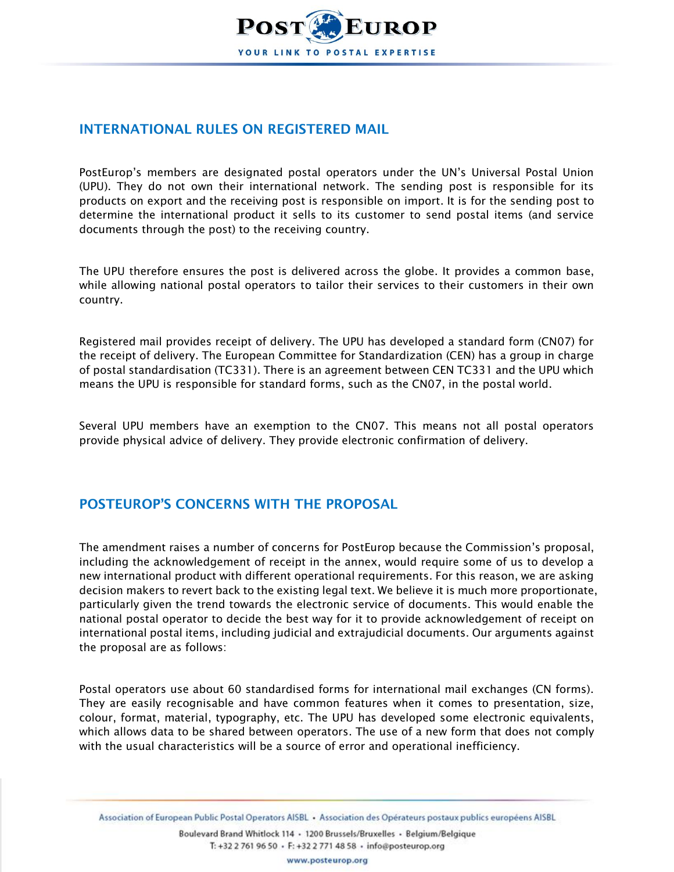

### INTERNATIONAL RULES ON REGISTERED MAIL

PostEurop's members are designated postal operators under the UN's Universal Postal Union (UPU). They do not own their international network. The sending post is responsible for its products on export and the receiving post is responsible on import. It is for the sending post to determine the international product it sells to its customer to send postal items (and service documents through the post) to the receiving country.

The UPU therefore ensures the post is delivered across the globe. It provides a common base, while allowing national postal operators to tailor their services to their customers in their own country.

Registered mail provides receipt of delivery. The UPU has developed a standard form (CN07) for the receipt of delivery. The European Committee for Standardization (CEN) has a group in charge of postal standardisation (TC331). There is an agreement between CEN TC331 and the UPU which means the UPU is responsible for standard forms, such as the CN07, in the postal world.

Several UPU members have an exemption to the CN07. This means not all postal operators provide physical advice of delivery. They provide electronic confirmation of delivery.

## POSTEUROP'S CONCERNS WITH THE PROPOSAL

The amendment raises a number of concerns for PostEurop because the Commission's proposal, including the acknowledgement of receipt in the annex, would require some of us to develop a new international product with different operational requirements. For this reason, we are asking decision makers to revert back to the existing legal text. We believe it is much more proportionate, particularly given the trend towards the electronic service of documents. This would enable the national postal operator to decide the best way for it to provide acknowledgement of receipt on international postal items, including judicial and extrajudicial documents. Our arguments against the proposal are as follows:

Postal operators use about 60 standardised forms for international mail exchanges (CN forms). They are easily recognisable and have common features when it comes to presentation, size, colour, format, material, typography, etc. The UPU has developed some electronic equivalents, which allows data to be shared between operators. The use of a new form that does not comply with the usual characteristics will be a source of error and operational inefficiency.

Association of European Public Postal Operators AISBL · Association des Opérateurs postaux publics européens AISBL

Boulevard Brand Whitlock 114 · 1200 Brussels/Bruxelles · Belgium/Belgique T: +32 2 761 96 50 · F: +32 2 771 48 58 · info@posteurop.org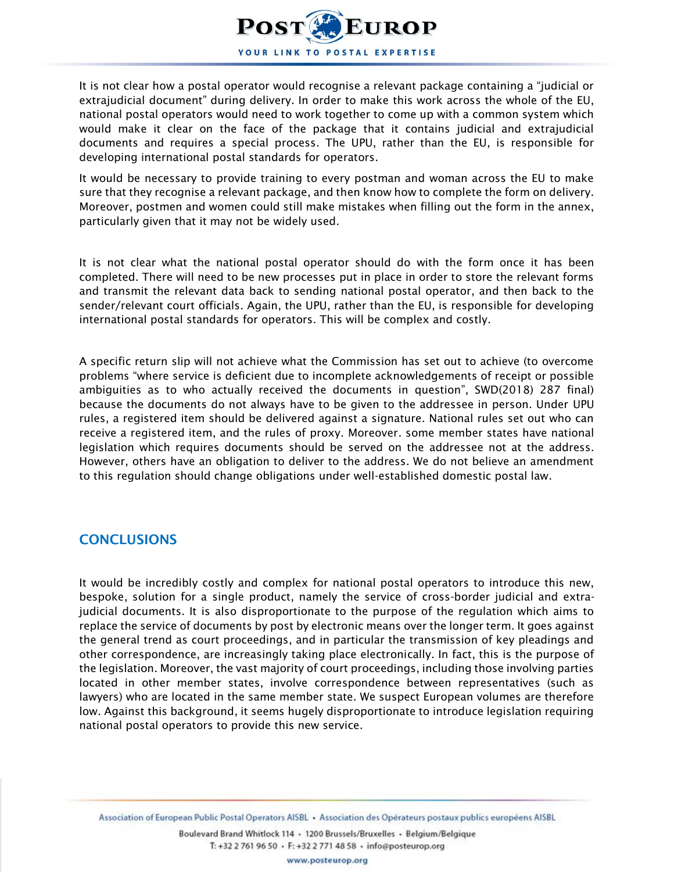

It is not clear how a postal operator would recognise a relevant package containing a "judicial or extrajudicial document" during delivery. In order to make this work across the whole of the EU, national postal operators would need to work together to come up with a common system which would make it clear on the face of the package that it contains judicial and extrajudicial documents and requires a special process. The UPU, rather than the EU, is responsible for developing international postal standards for operators.

It would be necessary to provide training to every postman and woman across the EU to make sure that they recognise a relevant package, and then know how to complete the form on delivery. Moreover, postmen and women could still make mistakes when filling out the form in the annex, particularly given that it may not be widely used.

It is not clear what the national postal operator should do with the form once it has been completed. There will need to be new processes put in place in order to store the relevant forms and transmit the relevant data back to sending national postal operator, and then back to the sender/relevant court officials. Again, the UPU, rather than the EU, is responsible for developing international postal standards for operators. This will be complex and costly.

A specific return slip will not achieve what the Commission has set out to achieve (to overcome problems "where service is deficient due to incomplete acknowledgements of receipt or possible ambiguities as to who actually received the documents in question", SWD(2018) 287 final) because the documents do not always have to be given to the addressee in person. Under UPU rules, a registered item should be delivered against a signature. National rules set out who can receive a registered item, and the rules of proxy. Moreover. some member states have national legislation which requires documents should be served on the addressee not at the address. However, others have an obligation to deliver to the address. We do not believe an amendment to this regulation should change obligations under well-established domestic postal law.

#### **CONCLUSIONS**

It would be incredibly costly and complex for national postal operators to introduce this new, bespoke, solution for a single product, namely the service of cross-border judicial and extrajudicial documents. It is also disproportionate to the purpose of the regulation which aims to replace the service of documents by post by electronic means over the longer term. It goes against the general trend as court proceedings, and in particular the transmission of key pleadings and other correspondence, are increasingly taking place electronically. In fact, this is the purpose of the legislation. Moreover, the vast majority of court proceedings, including those involving parties located in other member states, involve correspondence between representatives (such as lawyers) who are located in the same member state. We suspect European volumes are therefore low. Against this background, it seems hugely disproportionate to introduce legislation requiring national postal operators to provide this new service.

Association of European Public Postal Operators AISBL · Association des Opérateurs postaux publics européens AISBL

Boulevard Brand Whitlock 114 · 1200 Brussels/Bruxelles · Belgium/Belgique T: +32 2 761 96 50 · F: +32 2 771 48 58 · info@posteurop.org